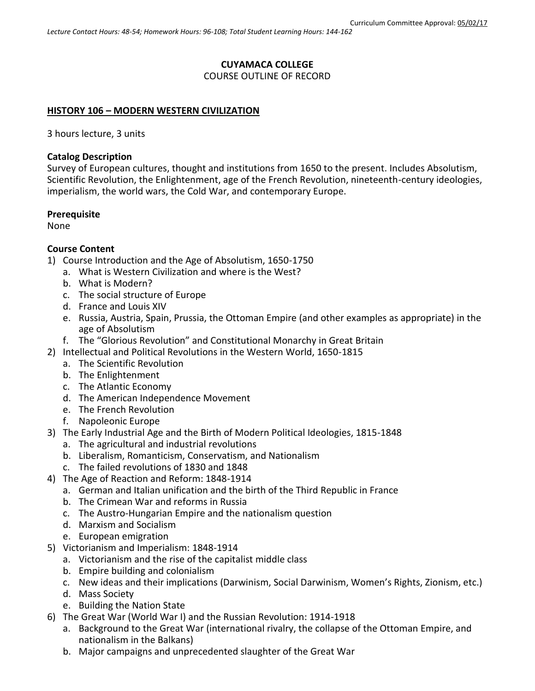# **CUYAMACA COLLEGE**

COURSE OUTLINE OF RECORD

## **HISTORY 106 – MODERN WESTERN CIVILIZATION**

3 hours lecture, 3 units

### **Catalog Description**

Survey of European cultures, thought and institutions from 1650 to the present. Includes Absolutism, Scientific Revolution, the Enlightenment, age of the French Revolution, nineteenth-century ideologies, imperialism, the world wars, the Cold War, and contemporary Europe.

### **Prerequisite**

None

#### **Course Content**

- 1) Course Introduction and the Age of Absolutism, 1650-1750
	- a. What is Western Civilization and where is the West?
	- b. What is Modern?
	- c. The social structure of Europe
	- d. France and Louis XIV
	- e. Russia, Austria, Spain, Prussia, the Ottoman Empire (and other examples as appropriate) in the age of Absolutism
	- f. The "Glorious Revolution" and Constitutional Monarchy in Great Britain
- 2) Intellectual and Political Revolutions in the Western World, 1650-1815
	- a. The Scientific Revolution
	- b. The Enlightenment
	- c. The Atlantic Economy
	- d. The American Independence Movement
	- e. The French Revolution
	- f. Napoleonic Europe
- 3) The Early Industrial Age and the Birth of Modern Political Ideologies, 1815-1848
	- a. The agricultural and industrial revolutions
	- b. Liberalism, Romanticism, Conservatism, and Nationalism
	- c. The failed revolutions of 1830 and 1848
- 4) The Age of Reaction and Reform: 1848-1914
	- a. German and Italian unification and the birth of the Third Republic in France
	- b. The Crimean War and reforms in Russia
	- c. The Austro-Hungarian Empire and the nationalism question
	- d. Marxism and Socialism
	- e. European emigration
- 5) Victorianism and Imperialism: 1848-1914
	- a. Victorianism and the rise of the capitalist middle class
	- b. Empire building and colonialism
	- c. New ideas and their implications (Darwinism, Social Darwinism, Women's Rights, Zionism, etc.)
	- d. Mass Society
	- e. Building the Nation State
- 6) The Great War (World War I) and the Russian Revolution: 1914-1918
	- a. Background to the Great War (international rivalry, the collapse of the Ottoman Empire, and nationalism in the Balkans)
	- b. Major campaigns and unprecedented slaughter of the Great War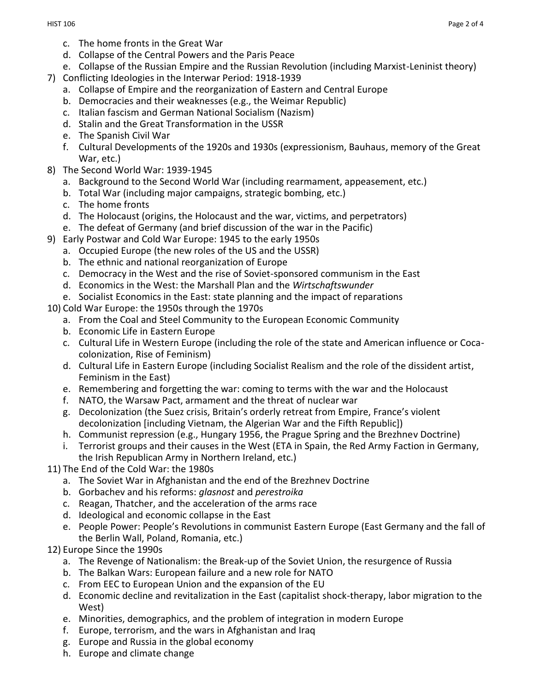- c. The home fronts in the Great War
- d. Collapse of the Central Powers and the Paris Peace
- e. Collapse of the Russian Empire and the Russian Revolution (including Marxist-Leninist theory)
- 7) Conflicting Ideologies in the Interwar Period: 1918-1939
	- a. Collapse of Empire and the reorganization of Eastern and Central Europe
	- b. Democracies and their weaknesses (e.g., the Weimar Republic)
	- c. Italian fascism and German National Socialism (Nazism)
	- d. Stalin and the Great Transformation in the USSR
	- e. The Spanish Civil War
	- f. Cultural Developments of the 1920s and 1930s (expressionism, Bauhaus, memory of the Great War, etc.)
- 8) The Second World War: 1939-1945
	- a. Background to the Second World War (including rearmament, appeasement, etc.)
	- b. Total War (including major campaigns, strategic bombing, etc.)
	- c. The home fronts
	- d. The Holocaust (origins, the Holocaust and the war, victims, and perpetrators)
	- e. The defeat of Germany (and brief discussion of the war in the Pacific)
- 9) Early Postwar and Cold War Europe: 1945 to the early 1950s
	- a. Occupied Europe (the new roles of the US and the USSR)
	- b. The ethnic and national reorganization of Europe
	- c. Democracy in the West and the rise of Soviet-sponsored communism in the East
	- d. Economics in the West: the Marshall Plan and the *Wirtschaftswunder*
	- e. Socialist Economics in the East: state planning and the impact of reparations
- 10) Cold War Europe: the 1950s through the 1970s
	- a. From the Coal and Steel Community to the European Economic Community
	- b. Economic Life in Eastern Europe
	- c. Cultural Life in Western Europe (including the role of the state and American influence or Cocacolonization, Rise of Feminism)
	- d. Cultural Life in Eastern Europe (including Socialist Realism and the role of the dissident artist, Feminism in the East)
	- e. Remembering and forgetting the war: coming to terms with the war and the Holocaust
	- f. NATO, the Warsaw Pact, armament and the threat of nuclear war
	- g. Decolonization (the Suez crisis, Britain's orderly retreat from Empire, France's violent decolonization [including Vietnam, the Algerian War and the Fifth Republic])
	- h. Communist repression (e.g., Hungary 1956, the Prague Spring and the Brezhnev Doctrine)
	- i. Terrorist groups and their causes in the West (ETA in Spain, the Red Army Faction in Germany, the Irish Republican Army in Northern Ireland, etc.)
- 11) The End of the Cold War: the 1980s
	- a. The Soviet War in Afghanistan and the end of the Brezhnev Doctrine
	- b. Gorbachev and his reforms: *glasnost* and *perestroika*
	- c. Reagan, Thatcher, and the acceleration of the arms race
	- d. Ideological and economic collapse in the East
	- e. People Power: People's Revolutions in communist Eastern Europe (East Germany and the fall of the Berlin Wall, Poland, Romania, etc.)
- 12) Europe Since the 1990s
	- a. The Revenge of Nationalism: the Break-up of the Soviet Union, the resurgence of Russia
	- b. The Balkan Wars: European failure and a new role for NATO
	- c. From EEC to European Union and the expansion of the EU
	- d. Economic decline and revitalization in the East (capitalist shock-therapy, labor migration to the West)
	- e. Minorities, demographics, and the problem of integration in modern Europe
	- f. Europe, terrorism, and the wars in Afghanistan and Iraq
	- g. Europe and Russia in the global economy
	- h. Europe and climate change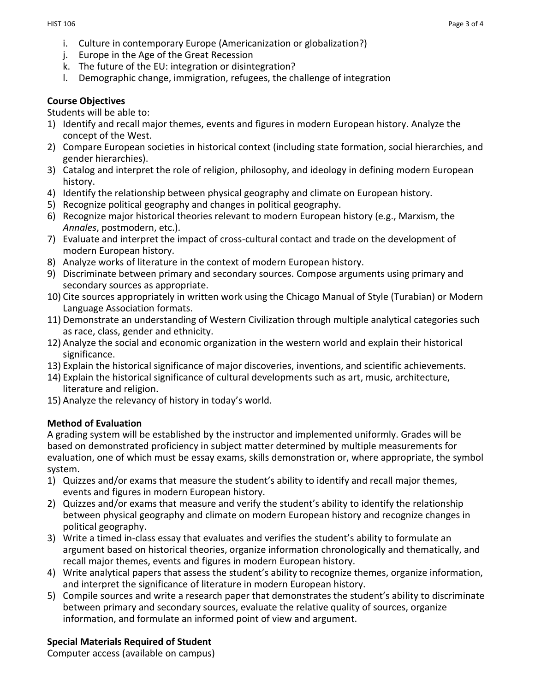- i. Culture in contemporary Europe (Americanization or globalization?)
- j. Europe in the Age of the Great Recession
- k. The future of the EU: integration or disintegration?
- l. Demographic change, immigration, refugees, the challenge of integration

# **Course Objectives**

Students will be able to:

- 1) Identify and recall major themes, events and figures in modern European history. Analyze the concept of the West.
- 2) Compare European societies in historical context (including state formation, social hierarchies, and gender hierarchies).
- 3) Catalog and interpret the role of religion, philosophy, and ideology in defining modern European history.
- 4) Identify the relationship between physical geography and climate on European history.
- 5) Recognize political geography and changes in political geography.
- 6) Recognize major historical theories relevant to modern European history (e.g., Marxism, the *Annales*, postmodern, etc.).
- 7) Evaluate and interpret the impact of cross-cultural contact and trade on the development of modern European history.
- 8) Analyze works of literature in the context of modern European history.
- 9) Discriminate between primary and secondary sources. Compose arguments using primary and secondary sources as appropriate.
- 10) Cite sources appropriately in written work using the Chicago Manual of Style (Turabian) or Modern Language Association formats.
- 11) Demonstrate an understanding of Western Civilization through multiple analytical categories such as race, class, gender and ethnicity.
- 12) Analyze the social and economic organization in the western world and explain their historical significance.
- 13) Explain the historical significance of major discoveries, inventions, and scientific achievements.
- 14) Explain the historical significance of cultural developments such as art, music, architecture, literature and religion.
- 15) Analyze the relevancy of history in today's world.

# **Method of Evaluation**

A grading system will be established by the instructor and implemented uniformly. Grades will be based on demonstrated proficiency in subject matter determined by multiple measurements for evaluation, one of which must be essay exams, skills demonstration or, where appropriate, the symbol system.

- 1) Quizzes and/or exams that measure the student's ability to identify and recall major themes, events and figures in modern European history.
- 2) Quizzes and/or exams that measure and verify the student's ability to identify the relationship between physical geography and climate on modern European history and recognize changes in political geography.
- 3) Write a timed in-class essay that evaluates and verifies the student's ability to formulate an argument based on historical theories, organize information chronologically and thematically, and recall major themes, events and figures in modern European history.
- 4) Write analytical papers that assess the student's ability to recognize themes, organize information, and interpret the significance of literature in modern European history.
- 5) Compile sources and write a research paper that demonstrates the student's ability to discriminate between primary and secondary sources, evaluate the relative quality of sources, organize information, and formulate an informed point of view and argument.

# **Special Materials Required of Student**

Computer access (available on campus)